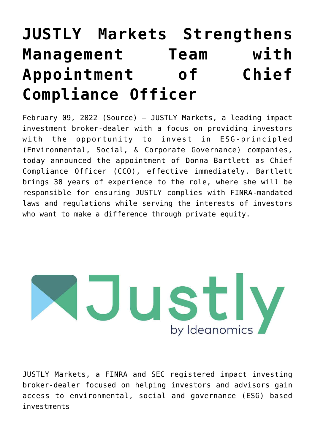# **[JUSTLY Markets Strengthens](https://investorintel.com/markets/cleantech/cleantech-news/justly-markets-strengthens-management-team-with-appointment-of-chief-compliance-officer/) [Management Team with](https://investorintel.com/markets/cleantech/cleantech-news/justly-markets-strengthens-management-team-with-appointment-of-chief-compliance-officer/) [Appointment of Chief](https://investorintel.com/markets/cleantech/cleantech-news/justly-markets-strengthens-management-team-with-appointment-of-chief-compliance-officer/) [Compliance Officer](https://investorintel.com/markets/cleantech/cleantech-news/justly-markets-strengthens-management-team-with-appointment-of-chief-compliance-officer/)**

February 09, 2022 ([Source](https://www.prnewswire.com/news-releases/justly-markets-strengthens-management-team-with-appointment-of-chief-compliance-officer-301478649.html)) — [JUSTLY Markets](https://c212.net/c/link/?t=0&l=en&o=3438167-1&h=1883167718&u=https%3A%2F%2Finvestjustly.com%2F&a=JUSTLY+Markets), a leading impact investment broker-dealer with a focus on providing investors with the opportunity to invest in ESG-principled (Environmental, Social, & Corporate Governance) companies, today announced the appointment of Donna Bartlett as Chief Compliance Officer (CCO), effective immediately. Bartlett brings 30 years of experience to the role, where she will be responsible for ensuring JUSTLY complies with FINRA-mandated laws and regulations while serving the interests of investors who want to make a difference through private equity.



JUSTLY Markets, a FINRA and SEC registered impact investing broker-dealer focused on helping investors and advisors gain access to environmental, social and governance (ESG) based investments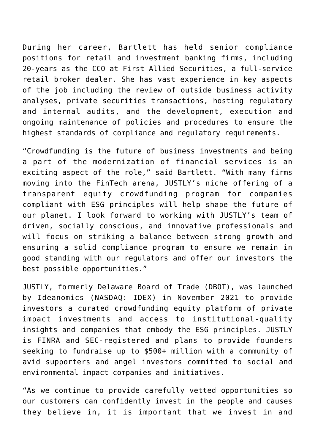During her career, Bartlett has held senior compliance positions for retail and investment banking firms, including 20-years as the CCO at First Allied Securities, a full-service retail broker dealer. She has vast experience in key aspects of the job including the review of outside business activity analyses, private securities transactions, hosting regulatory and internal audits, and the development, execution and ongoing maintenance of policies and procedures to ensure the highest standards of compliance and regulatory requirements.

"Crowdfunding is the future of business investments and being a part of the modernization of financial services is an exciting aspect of the role," said Bartlett. "With many firms moving into the FinTech arena, JUSTLY's niche offering of a transparent equity crowdfunding program for companies compliant with ESG principles will help shape the future of our planet. I look forward to working with JUSTLY's team of driven, socially conscious, and innovative professionals and will focus on striking a balance between strong growth and ensuring a solid compliance program to ensure we remain in good standing with our regulators and offer our investors the best possible opportunities."

JUSTLY, formerly Delaware Board of Trade (DBOT), was launched by Ideanomics (NASDAQ: [IDEX](https://www.prnewswire.com/news-releases/justly-markets-strengthens-management-team-with-appointment-of-chief-compliance-officer-301478649.html#financial-modal)) [in November 2021](https://c212.net/c/link/?t=0&l=en&o=3438167-1&h=2673738888&u=https%3A%2F%2Finvestors.ideanomics.com%2F2021-11-12-Ideanomics-Launches-New-JUSTLY-Markets-Platform-for-Transparent-ESG-Based-Investing-and-Fundraising%2C-Appoints-20-Year-Fidelity-Executive-Paul-Karrlsson-Willis-to-Chief-Executive-Officer&a=in+November+2021) to provide investors a curated crowdfunding equity platform of private impact investments and access to institutional-quality insights and companies that embody the ESG principles. JUSTLY is FINRA and SEC-registered and plans to provide founders seeking to fundraise up to \$500+ million with a community of avid supporters and angel investors committed to social and environmental impact companies and initiatives.

"As we continue to provide carefully vetted opportunities so our customers can confidently invest in the people and causes they believe in, it is important that we invest in and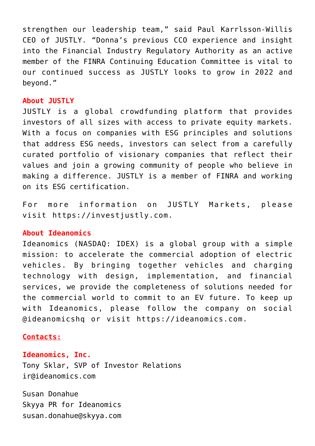strengthen our leadership team," said Paul Karrlsson-Willis CEO of JUSTLY. "Donna's previous CCO experience and insight into the Financial Industry Regulatory Authority as an active member of the FINRA Continuing Education Committee is vital to our continued success as JUSTLY looks to grow in 2022 and beyond."

#### **About JUSTLY**

JUSTLY is a global crowdfunding platform that provides investors of all sizes with access to private equity markets. With a focus on companies with ESG principles and solutions that address ESG needs, investors can select from a carefully curated portfolio of visionary companies that reflect their values and join a growing community of people who believe in making a difference. JUSTLY is a member of FINRA and working on its ESG certification.

For more information on JUSTLY Markets, please visit [https://investjustly.com](https://c212.net/c/link/?t=0&l=en&o=3438167-1&h=3333574489&u=https%3A%2F%2Fc212.net%2Fc%2Flink%2F%3Ft%3D0%26l%3Den%26o%3D3373540-1%26h%3D1972459499%26u%3Dhttps%253A%252F%252Finvestjustly.com%252F%26a%3Dhttps%253A%252F%252Finvestjustly.com&a=https%3A%2F%2Finvestjustly.com).

### **About Ideanomics**

Ideanomics (NASDAQ: [IDEX\)](https://www.prnewswire.com/news-releases/justly-markets-strengthens-management-team-with-appointment-of-chief-compliance-officer-301478649.html#financial-modal) is a global group with a simple mission: to accelerate the commercial adoption of electric vehicles. By bringing together vehicles and charging technology with design, implementation, and financial services, we provide the completeness of solutions needed for the commercial world to commit to an EV future. To keep up with Ideanomics, please follow the company on social @ideanomicshq or visit [https://ideanomics.com](https://c212.net/c/link/?t=0&l=en&o=3438167-1&h=191366233&u=https%3A%2F%2Fc212.net%2Fc%2Flink%2F%3Ft%3D0%26l%3Den%26o%3D3431634-1%26h%3D4241303041%26u%3Dhttps%253A%252F%252Fideanomics.com%252F%26a%3Dhttps%253A%252F%252Fideanomics.com&a=https%3A%2F%2Fideanomics.com).

### **Contacts:**

## **Ideanomics, Inc.**

Tony Sklar, SVP of Investor Relations [ir@ideanomics.com](mailto:ir@ideanomics.com)

Susan Donahue Skyya PR for Ideanomics [susan.donahue@skyya.com](mailto:susan.donahue@skyya.com)